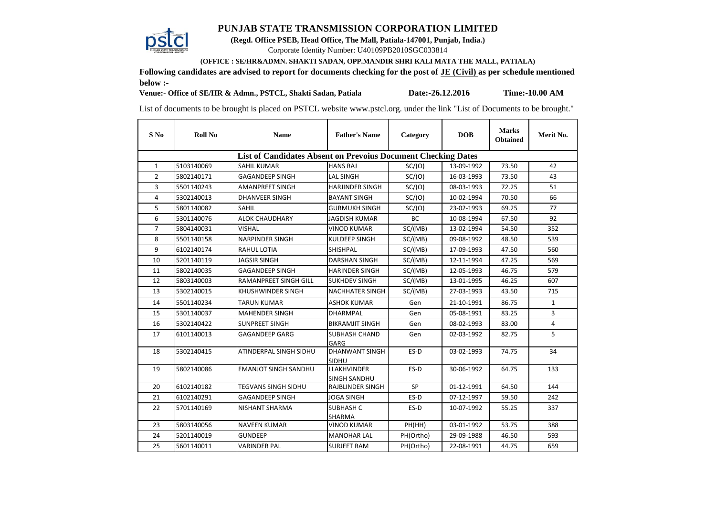## **PUNJAB STATE TRANSMISSION CORPORATION LIMITED**



**(Regd. Office PSEB, Head Office, The Mall, Patiala-147001, Punjab, India.)**

Corporate Identity Number: U40109PB2010SGC033814

 **(OFFICE : SE/HR&ADMN. SHAKTI SADAN, OPP.MANDIR SHRI KALI MATA THE MALL, PATIALA)** 

**Following candidates are advised to report for documents checking for the post of JE (Civil) as per schedule mentioned below :-**

**Venue:- Office of SE/HR & Admn., PSTCL, Shakti Sadan, Patiala**

**Date:-26.12.2016 Time:-10.00 AM**

List of documents to be brought is placed on PSTCL website www.pstcl.org. under the link "List of Documents to be brought."

| S No                                                                 | <b>Roll No</b> | <b>Name</b>                  | <b>Father's Name</b>               | Category  | <b>DOB</b> | <b>Marks</b><br><b>Obtained</b> | Merit No.    |  |  |  |  |  |
|----------------------------------------------------------------------|----------------|------------------------------|------------------------------------|-----------|------------|---------------------------------|--------------|--|--|--|--|--|
| <b>List of Candidates Absent on Prevoius Document Checking Dates</b> |                |                              |                                    |           |            |                                 |              |  |  |  |  |  |
| $\mathbf{1}$                                                         | 5103140069     | <b>SAHIL KUMAR</b>           | <b>HANS RAJ</b>                    | SC/(O)    | 13-09-1992 | 73.50                           | 42           |  |  |  |  |  |
| $\overline{2}$                                                       | 5802140171     | <b>GAGANDEEP SINGH</b>       | <b>LAL SINGH</b>                   | SC/(O)    | 16-03-1993 | 73.50                           | 43           |  |  |  |  |  |
| 3                                                                    | 5501140243     | <b>AMANPREET SINGH</b>       | <b>HARJINDER SINGH</b>             | SC/(O)    | 08-03-1993 | 72.25                           | 51           |  |  |  |  |  |
| 4                                                                    | 5302140013     | <b>DHANVEER SINGH</b>        | <b>BAYANT SINGH</b>                | SC/(O)    | 10-02-1994 | 70.50                           | 66           |  |  |  |  |  |
| 5                                                                    | 5801140082     | <b>SAHIL</b>                 | <b>GURMUKH SINGH</b>               | SC/(O)    | 23-02-1993 | 69.25                           | 77           |  |  |  |  |  |
| 6                                                                    | 5301140076     | <b>ALOK CHAUDHARY</b>        | JAGDISH KUMAR                      | BC        | 10-08-1994 | 67.50                           | 92           |  |  |  |  |  |
| $\overline{7}$                                                       | 5804140031     | <b>VISHAL</b>                | <b>VINOD KUMAR</b>                 | SC/(MB)   | 13-02-1994 | 54.50                           | 352          |  |  |  |  |  |
| 8                                                                    | 5501140158     | <b>NARPINDER SINGH</b>       | <b>KULDEEP SINGH</b>               | SC/(MB)   | 09-08-1992 | 48.50                           | 539          |  |  |  |  |  |
| 9                                                                    | 6102140174     | <b>RAHUL LOTIA</b>           | <b>SHISHPAL</b>                    | SC/(MB)   | 17-09-1993 | 47.50                           | 560          |  |  |  |  |  |
| 10                                                                   | 5201140119     | <b>JAGSIR SINGH</b>          | <b>DARSHAN SINGH</b>               | SC/(MB)   | 12-11-1994 | 47.25                           | 569          |  |  |  |  |  |
| 11                                                                   | 5802140035     | <b>GAGANDEEP SINGH</b>       | <b>HARINDER SINGH</b>              | SC/(MB)   | 12-05-1993 | 46.75                           | 579          |  |  |  |  |  |
| 12                                                                   | 5803140003     | <b>RAMANPREET SINGH GILL</b> | <b>SUKHDEV SINGH</b>               | SC/(MB)   | 13-01-1995 | 46.25                           | 607          |  |  |  |  |  |
| 13                                                                   | 5302140015     | <b>KHUSHWINDER SINGH</b>     | <b>NACHHATER SINGH</b>             | SC/(MB)   | 27-03-1993 | 43.50                           | 715          |  |  |  |  |  |
| 14                                                                   | 5501140234     | TARUN KUMAR                  | ASHOK KUMAR                        | Gen       | 21-10-1991 | 86.75                           | $\mathbf{1}$ |  |  |  |  |  |
| 15                                                                   | 5301140037     | <b>MAHENDER SINGH</b>        | DHARMPAL                           | Gen       | 05-08-1991 | 83.25                           | 3            |  |  |  |  |  |
| 16                                                                   | 5302140422     | <b>SUNPREET SINGH</b>        | <b>BIKRAMJIT SINGH</b>             | Gen       | 08-02-1993 | 83.00                           | 4            |  |  |  |  |  |
| 17                                                                   | 6101140013     | <b>GAGANDEEP GARG</b>        | SUBHASH CHAND<br>GARG              | Gen       | 02-03-1992 | 82.75                           | 5            |  |  |  |  |  |
| 18                                                                   | 5302140415     | ATINDERPAL SINGH SIDHU       | <b>DHANWANT SINGH</b><br>SIDHU     | ES-D      | 03-02-1993 | 74.75                           | 34           |  |  |  |  |  |
| 19                                                                   | 5802140086     | <b>EMANJOT SINGH SANDHU</b>  | <b>LLAKHVINDER</b><br>SINGH SANDHU | ES-D      | 30-06-1992 | 64.75                           | 133          |  |  |  |  |  |
| 20                                                                   | 6102140182     | <b>TEGVANS SINGH SIDHU</b>   | <b>RAJBLINDER SINGH</b>            | <b>SP</b> | 01-12-1991 | 64.50                           | 144          |  |  |  |  |  |
| 21                                                                   | 6102140291     | <b>GAGANDEEP SINGH</b>       | <b>JOGA SINGH</b>                  | ES-D      | 07-12-1997 | 59.50                           | 242          |  |  |  |  |  |
| 22                                                                   | 5701140169     | <b>NISHANT SHARMA</b>        | <b>SUBHASH C</b><br>SHARMA         | ES-D      | 10-07-1992 | 55.25                           | 337          |  |  |  |  |  |
| 23                                                                   | 5803140056     | <b>NAVEEN KUMAR</b>          | <b>VINOD KUMAR</b>                 | PH(HH)    | 03-01-1992 | 53.75                           | 388          |  |  |  |  |  |
| 24                                                                   | 5201140019     | <b>GUNDEEP</b>               | <b>MANOHAR LAL</b>                 | PH(Ortho) | 29-09-1988 | 46.50                           | 593          |  |  |  |  |  |
| 25                                                                   | 5601140011     | <b>VARINDER PAL</b>          | <b>SURJEET RAM</b>                 | PH(Ortho) | 22-08-1991 | 44.75                           | 659          |  |  |  |  |  |